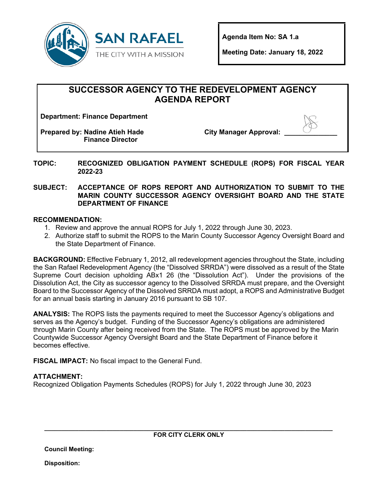

**Agenda Item No: SA 1.a** 

**Meeting Date: January 18, 2022** 

# **SUCCESSOR AGENCY TO THE REDEVELOPMENT AGENCY AGENDA REPORT**

**Department: Finance Department**

**Prepared by: Nadine Atieh Hade Finance Director**

**City Manager Approval:** 



**TOPIC: RECOGNIZED OBLIGATION PAYMENT SCHEDULE (ROPS) FOR FISCAL YEAR 2022-23** 

#### **SUBJECT: ACCEPTANCE OF ROPS REPORT AND AUTHORIZATION TO SUBMIT TO THE MARIN COUNTY SUCCESSOR AGENCY OVERSIGHT BOARD AND THE STATE DEPARTMENT OF FINANCE**

#### **RECOMMENDATION:**

- 1. Review and approve the annual ROPS for July 1, 2022 through June 30, 2023.
- 2. Authorize staff to submit the ROPS to the Marin County Successor Agency Oversight Board and the State Department of Finance.

**BACKGROUND:** Effective February 1, 2012, all redevelopment agencies throughout the State, including the San Rafael Redevelopment Agency (the "Dissolved SRRDA") were dissolved as a result of the State Supreme Court decision upholding ABx1 26 (the "Dissolution Act"). Under the provisions of the Dissolution Act, the City as successor agency to the Dissolved SRRDA must prepare, and the Oversight Board to the Successor Agency of the Dissolved SRRDA must adopt, a ROPS and Administrative Budget for an annual basis starting in January 2016 pursuant to SB 107.

**ANALYSIS:** The ROPS lists the payments required to meet the Successor Agency's obligations and serves as the Agency's budget. Funding of the Successor Agency's obligations are administered through Marin County after being received from the State. The ROPS must be approved by the Marin Countywide Successor Agency Oversight Board and the State Department of Finance before it becomes effective.

**FISCAL IMPACT:** No fiscal impact to the General Fund.

## **ATTACHMENT:**

Recognized Obligation Payments Schedules (ROPS) for July 1, 2022 through June 30, 2023

**\_\_\_\_\_\_\_\_\_\_\_\_\_\_\_\_\_\_\_\_\_\_\_\_\_\_\_\_\_\_\_\_\_\_\_\_\_\_\_\_\_\_\_\_\_\_\_\_\_\_\_\_\_\_\_\_\_\_\_\_\_\_\_\_\_\_\_\_\_\_\_\_\_\_\_\_\_\_\_\_\_\_\_\_ FOR CITY CLERK ONLY**

**Council Meeting:**

**Disposition:**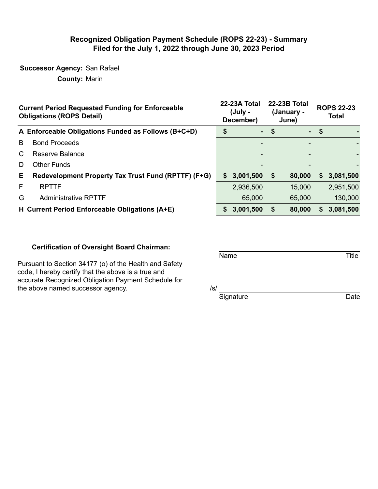## **Recognized Obligation Payment Schedule (ROPS 22-23) - Summary Filed for the July 1, 2022 through June 30, 2023 Period**

## **Successor Agency:** San Rafael

**County:** Marin

|    | <b>Current Period Requested Funding for Enforceable</b><br><b>Obligations (ROPS Detail)</b> |    | 22-23A Total<br>(July -<br>December) | 22-23B Total<br>(January -<br>June) | <b>ROPS 22-23</b><br><b>Total</b> |           |  |
|----|---------------------------------------------------------------------------------------------|----|--------------------------------------|-------------------------------------|-----------------------------------|-----------|--|
|    | A Enforceable Obligations Funded as Follows (B+C+D)                                         |    | $\sim$                               | \$                                  | $-$ \$                            |           |  |
| B  | <b>Bond Proceeds</b>                                                                        |    |                                      |                                     |                                   |           |  |
| C. | <b>Reserve Balance</b>                                                                      |    |                                      |                                     |                                   |           |  |
| D  | <b>Other Funds</b>                                                                          |    |                                      |                                     |                                   |           |  |
| E. | Redevelopment Property Tax Trust Fund (RPTTF) (F+G)                                         | S. | 3,001,500                            | \$<br>80,000                        | S.                                | 3,081,500 |  |
| F  | <b>RPTTF</b>                                                                                |    | 2,936,500                            | 15,000                              |                                   | 2,951,500 |  |
| G  | <b>Administrative RPTTF</b>                                                                 |    | 65,000                               | 65,000                              |                                   | 130,000   |  |
|    | H Current Period Enforceable Obligations (A+E)                                              |    | 3,001,500                            | \$<br>80,000                        | S.                                | 3,081,500 |  |

### **Certification of Oversight Board Chairman:**

Name Title

Pursuant to Section 34177 (o) of the Health and Safety code, I hereby certify that the above is a true and accurate Recognized Obligation Payment Schedule for the above named successor agency.  $/ s / s$ 

Signature Date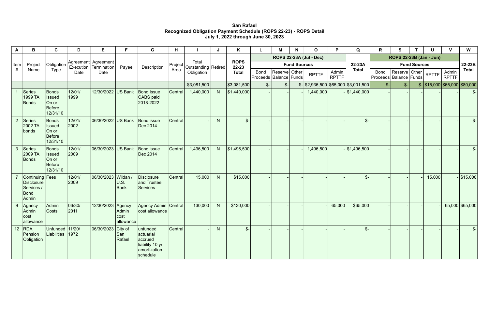# **San Rafael Recognized Obligation Payment Schedule (ROPS 22-23) - ROPS Detail July 1, 2022 through June 30, 2023**

| A              | B                                                              | $\mathbf c$                                                         | D              | E                  | F                                    | G                                                                               | H              |             |                              | K               |                                | M                                         | N             | $\mathbf{o}$        | P            | Q                                                   | R            | $\mathbf{s}$                              |               | U                                        | $\mathbf{V}$ | W                     |
|----------------|----------------------------------------------------------------|---------------------------------------------------------------------|----------------|--------------------|--------------------------------------|---------------------------------------------------------------------------------|----------------|-------------|------------------------------|-----------------|--------------------------------|-------------------------------------------|---------------|---------------------|--------------|-----------------------------------------------------|--------------|-------------------------------------------|---------------|------------------------------------------|--------------|-----------------------|
| Item           |                                                                |                                                                     |                |                    |                                      |                                                                                 |                |             |                              |                 | <b>ROPS 22-23A (Jul - Dec)</b> |                                           |               |                     |              | ROPS 22-23B (Jan - Jun)                             |              |                                           |               |                                          |              |                       |
|                | Project                                                        | Obligation                                                          |                | Execution          | Agreement   Agreement<br>Termination | Payee                                                                           | Description    | Project     | Total<br>Outstanding Retired |                 | <b>ROPS</b><br>22-23           |                                           |               | <b>Fund Sources</b> |              |                                                     | 22-23A       | <b>Fund Sources</b>                       |               |                                          |              |                       |
| #              | Name                                                           | Type                                                                | Date           | Date               |                                      |                                                                                 | Area           | Obligation  |                              |                 | <b>Total</b>                   | <b>Bond</b><br>Proceeds   Balance   Funds | Reserve Other |                     | <b>RPTTF</b> | Admin<br><b>RPTTF</b>                               | <b>Total</b> | <b>Bond</b><br>Proceeds   Balance   Funds | Reserve Other |                                          | <b>RPTTF</b> | Admin<br><b>RPTTF</b> |
|                |                                                                |                                                                     |                |                    |                                      |                                                                                 |                | \$3,081,500 |                              | \$3,081,500     | $\frac{2}{2}$                  | $\mathcal{S}$ -                           |               |                     |              | $\frac{1}{2}$ \\$2,936,500 \\$65,000 \\$3,001,500 \ | $S-$         | $S-$                                      |               | $\frac{1}{2}$ \$15,000 \$65,000 \$80,000 |              |                       |
|                | Series<br>1999 TA<br>Bonds                                     | <b>Bonds</b><br><b>Issued</b><br>On or<br><b>Before</b><br>12/31/10 | 12/01/<br>1999 | 12/30/2022 US Bank |                                      | <b>Bond Issue</b><br>CABS paid<br>2018-2022                                     | Central        | 1,440,000   | N                            | \$1,440,000     |                                |                                           |               | 1,440,000           |              | $-$ \$1,440,000                                     |              |                                           |               |                                          |              | $\mathcal{S}$ -       |
| $\overline{2}$ | Series<br>2002 TA<br>bonds                                     | <b>Bonds</b><br><b>Issued</b><br>On or<br><b>Before</b><br>12/31/10 | 12/01/<br>2002 | 06/30/2022 US Bank |                                      | <b>Bond issue</b><br>Dec 2014                                                   | Central        |             | N                            | $\mathcal{S}$ - |                                |                                           |               |                     |              | $\frac{2}{2}$                                       |              |                                           |               |                                          |              | $\mathcal{S}$ -       |
| $\mathbf{3}$   | Series<br>2009 TA<br>Bonds                                     | <b>Bonds</b><br><b>Issued</b><br>On or<br><b>Before</b><br>12/31/10 | 12/01/<br>2009 | 06/30/2023 US Bank |                                      | <b>Bond issue</b><br>Dec 2014                                                   | <b>Central</b> | 1,496,500   | N                            | \$1,496,500     |                                |                                           |               | 1,496,500           |              | $-$ \$1,496,500                                     |              |                                           |               |                                          |              | $\mathcal{S}$ -       |
|                | Continuing   Fees<br>Disclosure<br>Services /<br>Bond<br>Admin |                                                                     | 12/01/<br>2009 | 06/30/2023 Wildan  | U.S.<br>Bank                         | Disclosure<br>and Trustee<br><b>Services</b>                                    | Central        | 15,000      | N                            | \$15,000        |                                |                                           |               |                     |              | $\mathcal{S}$                                       |              |                                           |               | 15,000                                   |              | $-$ \$15,000          |
| 9              | Agency<br>Admin<br> cost <br>allowance                         | Admin<br>Costs                                                      | 06/30/<br>2011 | 12/30/2023 Agency  | Admin<br>cost<br>allowance           | Agency Admin   Central<br>cost allowance                                        |                | 130,000     | N                            | \$130,000       |                                |                                           |               |                     | 65,000       | \$65,000                                            |              |                                           |               |                                          |              | 65,000 \$65,000       |
| 12             | RDA <br>Pension<br>Obligation                                  | Unfunded 11/20/<br>Liabilities 1972                                 |                | 06/30/2023 City of | San<br>Rafael                        | unfunded<br>actuarial<br>accrued<br>liability 10 yr<br>amortization<br>schedule | Central        |             | N                            | $\mathcal{S}$ - |                                |                                           |               |                     |              | $\frac{2}{2}$                                       |              |                                           |               |                                          |              | $\mathcal{S}$ -       |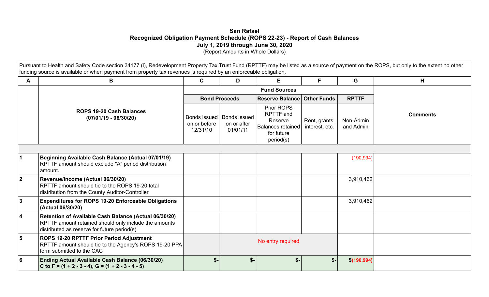## **San Rafael Recognized Obligation Payment Schedule (ROPS 22-23) - Report of Cash Balances July 1, 2019 through June 30, 2020**  (Report Amounts in Whole Dollars)

Pursuant to Health and Safety Code section 34177 (I), Redevelopment Property Tax Trust Fund (RPTTF) may be listed as a source of payment on the ROPS, but only to the extent no other funding source is available or when payment from property tax revenues is required by an enforceable obligation.

|                | B                                                                                                                                                             | C    | D                                                              | E                                                                                  | F.                              | G                      | H               |
|----------------|---------------------------------------------------------------------------------------------------------------------------------------------------------------|------|----------------------------------------------------------------|------------------------------------------------------------------------------------|---------------------------------|------------------------|-----------------|
|                |                                                                                                                                                               |      |                                                                |                                                                                    |                                 |                        |                 |
|                |                                                                                                                                                               |      | <b>Bond Proceeds</b>                                           | <b>Reserve Balance Other Funds</b>                                                 |                                 | <b>RPTTF</b>           |                 |
|                | <b>ROPS 19-20 Cash Balances</b><br>$(07/01/19 - 06/30/20)$                                                                                                    |      | <b>Bonds issued</b><br>Bonds issued<br>on or after<br>01/01/11 | Prior ROPS<br>RPTTF and<br>Reserve<br>Balances retained<br>for future<br>period(s) | Rent, grants,<br>interest, etc. | Non-Admin<br>and Admin | <b>Comments</b> |
|                |                                                                                                                                                               |      |                                                                |                                                                                    |                                 |                        |                 |
|                | Beginning Available Cash Balance (Actual 07/01/19)<br>RPTTF amount should exclude "A" period distribution<br>amount.                                          |      |                                                                |                                                                                    |                                 | (190, 994)             |                 |
| $\overline{2}$ | Revenue/Income (Actual 06/30/20)<br>RPTTF amount should tie to the ROPS 19-20 total<br>distribution from the County Auditor-Controller                        |      |                                                                |                                                                                    |                                 | 3,910,462              |                 |
| 3              | <b>Expenditures for ROPS 19-20 Enforceable Obligations</b><br>(Actual 06/30/20)                                                                               |      |                                                                |                                                                                    |                                 | 3,910,462              |                 |
| 4              | Retention of Available Cash Balance (Actual 06/30/20)<br>RPTTF amount retained should only include the amounts<br>distributed as reserve for future period(s) |      |                                                                |                                                                                    |                                 |                        |                 |
| 5              | ROPS 19-20 RPTTF Prior Period Adjustment<br>RPTTF amount should tie to the Agency's ROPS 19-20 PPA<br>form submitted to the CAC                               |      |                                                                | No entry required                                                                  |                                 |                        |                 |
| 6              | <b>Ending Actual Available Cash Balance (06/30/20)</b><br>C to F = $(1 + 2 - 3 - 4)$ , G = $(1 + 2 - 3 - 4 - 5)$                                              | $$-$ | $S-$                                                           | $$$ -                                                                              | \$-                             | \$(190, 994)           |                 |